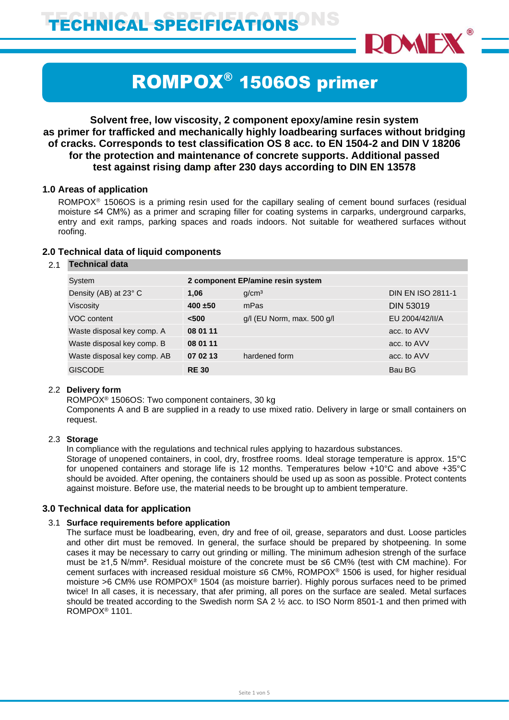TECHNICAL SPECIFICATIONS<sup>ONS</sup>



# ROMPOX® 1506OS primer

# **Solvent free, low viscosity, 2 component epoxy/amine resin system as primer for trafficked and mechanically highly loadbearing surfaces without bridging of cracks. Corresponds to test classification OS 8 acc. to EN 1504-2 and DIN V 18206 for the protection and maintenance of concrete supports. Additional passed test against rising damp after 230 days according to DIN EN 13578**

#### **1.0 Areas of application**

ROMPOX<sup>®</sup> 1506OS is a priming resin used for the capillary sealing of cement bound surfaces (residual moisture ≤4 CM%) as a primer and scraping filler for coating systems in carparks, underground carparks, entry and exit ramps, parking spaces and roads indoors. Not suitable for weathered surfaces without roofing.

#### **2.0 Technical data of liquid components**

#### 2.1 **Technical data**

| System                      | 2 component EP/amine resin system |                                |                          |  |
|-----------------------------|-----------------------------------|--------------------------------|--------------------------|--|
| Density (AB) at 23° C       | 1.06                              | q/cm <sup>3</sup>              | <b>DIN EN ISO 2811-1</b> |  |
| Viscosity                   | $400 + 50$                        | mPas                           | <b>DIN 53019</b>         |  |
| VOC content                 | < 500                             | $g/l$ (EU Norm, max. 500 $g/l$ | EU 2004/42/II/A          |  |
| Waste disposal key comp. A  | 08 01 11                          |                                | acc. to AVV              |  |
| Waste disposal key comp. B  | 08 01 11                          |                                | acc. to AVV              |  |
| Waste disposal key comp. AB | 07 02 13                          | hardened form                  | acc. to AVV              |  |
| <b>GISCODE</b>              | <b>RE30</b>                       |                                | Bau BG                   |  |

#### 2.2 **Delivery form**

ROMPOX® 1506OS: Two component containers, 30 kg

Components A and B are supplied in a ready to use mixed ratio. Delivery in large or small containers on request.

#### 2.3 **Storage**

In compliance with the regulations and technical rules applying to hazardous substances.

Storage of unopened containers, in cool, dry, frostfree rooms. Ideal storage temperature is approx. 15°C for unopened containers and storage life is 12 months. Temperatures below +10°C and above +35°C should be avoided. After opening, the containers should be used up as soon as possible. Protect contents against moisture. Before use, the material needs to be brought up to ambient temperature.

#### **3.0 Technical data for application**

#### 3.1 **Surface requirements before application**

The surface must be loadbearing, even, dry and free of oil, grease, separators and dust. Loose particles and other dirt must be removed. In general, the surface should be prepared by shotpeening. In some cases it may be necessary to carry out grinding or milling. The minimum adhesion strengh of the surface must be ≥1,5 N/mm². Residual moisture of the concrete must be ≤6 CM% (test with CM machine). For cement surfaces with increased residual moisture ≤6 CM%, ROMPOX® 1506 is used, for higher residual moisture >6 CM% use ROMPOX® 1504 (as moisture barrier). Highly porous surfaces need to be primed twice! In all cases, it is necessary, that afer priming, all pores on the surface are sealed. Metal surfaces should be treated according to the Swedish norm SA 2 ½ acc. to ISO Norm 8501-1 and then primed with ROMPOX® 1101.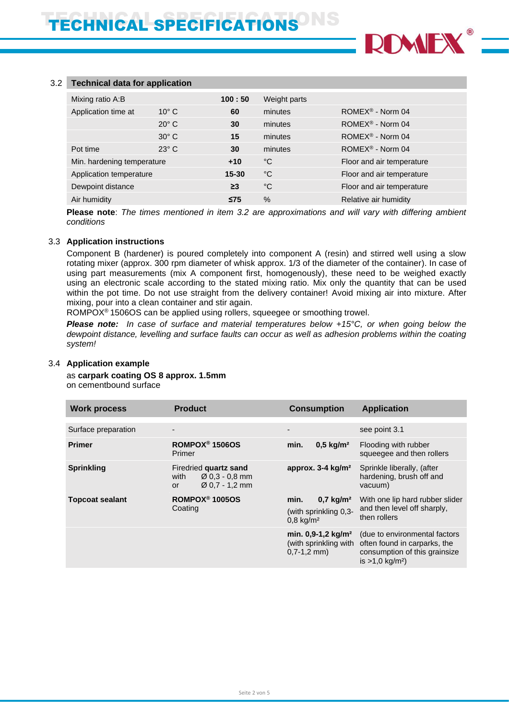

# 3.2 **Technical data for application**

| Mixing ratio A:B           |                | 100:50    | Weight parts |                              |
|----------------------------|----------------|-----------|--------------|------------------------------|
| Application time at        | $10^{\circ}$ C | 60        | minutes      | ROMEX <sup>®</sup> - Norm 04 |
|                            | $20^\circ$ C   | 30        | minutes      | ROMEX <sup>®</sup> - Norm 04 |
|                            | $30^\circ$ C   | 15        | minutes      | ROMEX <sup>®</sup> - Norm 04 |
| Pot time                   | $23^\circ$ C   | 30        | minutes      | ROMEX <sup>®</sup> - Norm 04 |
| Min. hardening temperature |                | $+10$     | °C           | Floor and air temperature    |
| Application temperature    |                | $15 - 30$ | °C           | Floor and air temperature    |
| Dewpoint distance          |                | $\geq$ 3  | °C           | Floor and air temperature    |
| Air humidity               |                | $\leq$ 75 | $\%$         | Relative air humidity        |

**Please note**: *The times mentioned in item 3.2 are approximations and will vary with differing ambient conditions*

#### 3.3 **Application instructions**

Component B (hardener) is poured completely into component A (resin) and stirred well using a slow rotating mixer (approx. 300 rpm diameter of whisk approx. 1/3 of the diameter of the container). In case of using part measurements (mix A component first, homogenously), these need to be weighed exactly using an electronic scale according to the stated mixing ratio. Mix only the quantity that can be used within the pot time. Do not use straight from the delivery container! Avoid mixing air into mixture. After mixing, pour into a clean container and stir again.

ROMPOX<sup>®</sup> 1506OS can be applied using rollers, squeegee or smoothing trowel.

*Please note: In case of surface and material temperatures below +15°C, or when going below the dewpoint distance, levelling and surface faults can occur as well as adhesion problems within the coating system!*

## 3.4 **Application example**

as **carpark coating OS 8 approx. 1.5mm** on cementbound surface

| <b>Work process</b>    | <b>Product</b>                                                                                  | <b>Consumption</b>                                                               | <b>Application</b>                                                                                                           |
|------------------------|-------------------------------------------------------------------------------------------------|----------------------------------------------------------------------------------|------------------------------------------------------------------------------------------------------------------------------|
| Surface preparation    |                                                                                                 |                                                                                  | see point 3.1                                                                                                                |
| <b>Primer</b>          | ROMPOX <sup>®</sup> 1506OS<br>Primer                                                            | $0.5 \text{ kg/m}^2$<br>min.                                                     | Flooding with rubber<br>squeegee and then rollers                                                                            |
| <b>Sprinkling</b>      | Firedried quartz sand<br>$\varnothing$ 0.3 - 0.8 mm<br>with<br>$\varnothing$ 0.7 - 1.2 mm<br>or | approx. $3-4$ kg/m <sup>2</sup>                                                  | Sprinkle liberally, (after<br>hardening, brush off and<br>vacuum)                                                            |
| <b>Topcoat sealant</b> | ROMPOX <sup>®</sup> 1005OS<br>Coating                                                           | $0.7 \text{ kg/m}^2$<br>min.<br>(with sprinkling 0,3-<br>$0,8$ kg/m <sup>2</sup> | With one lip hard rubber slider<br>and then level off sharply,<br>then rollers                                               |
|                        |                                                                                                 | min. $0,9-1,2$ kg/m <sup>2</sup><br>(with sprinkling with<br>$0.7 - 1.2$ mm)     | (due to environmental factors<br>often found in carparks, the<br>consumption of this grainsize<br>is $>1.0 \text{ kg/m}^2$ ) |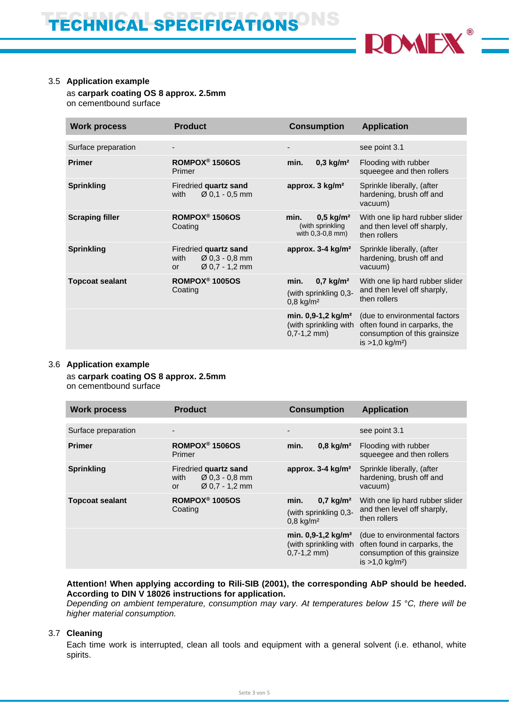

#### 3.5 **Application example**

as **carpark coating OS 8 approx. 2.5mm** on cementbound surface

| <b>Work process</b>    | <b>Product</b>                                                                                         | <b>Consumption</b>                                                                  | <b>Application</b>                                                                                                              |
|------------------------|--------------------------------------------------------------------------------------------------------|-------------------------------------------------------------------------------------|---------------------------------------------------------------------------------------------------------------------------------|
| Surface preparation    |                                                                                                        |                                                                                     | see point 3.1                                                                                                                   |
| <b>Primer</b>          | ROMPOX <sup>®</sup> 1506OS<br>Primer                                                                   | $0,3$ kg/m <sup>2</sup><br>min.                                                     | Flooding with rubber<br>squeegee and then rollers                                                                               |
| <b>Sprinkling</b>      | Firedried quartz sand<br>$\varnothing$ 0.1 - 0.5 mm<br>with                                            | approx. 3 kg/m <sup>2</sup>                                                         | Sprinkle liberally, (after<br>hardening, brush off and<br>vacuum)                                                               |
| <b>Scraping filler</b> | ROMPOX <sup>®</sup> 1506OS<br>Coating                                                                  | min.<br>$0,5$ kg/m <sup>2</sup><br>(with sprinkling<br>with 0,3-0,8 mm)             | With one lip hard rubber slider<br>and then level off sharply,<br>then rollers                                                  |
| <b>Sprinkling</b>      | Firedried quartz sand<br>$\varnothing$ 0.3 - 0.8 mm<br>with<br>$\varnothing$ 0,7 - 1,2 mm<br><b>or</b> | approx. $3-4$ kg/m <sup>2</sup>                                                     | Sprinkle liberally, (after<br>hardening, brush off and<br>vacuum)                                                               |
| <b>Topcoat sealant</b> | ROMPOX <sup>®</sup> 1005OS<br>Coating                                                                  | $0.7$ kg/m <sup>2</sup><br>min.<br>(with sprinkling 0,3-<br>$0,8$ kg/m <sup>2</sup> | With one lip hard rubber slider<br>and then level off sharply,<br>then rollers                                                  |
|                        |                                                                                                        | min. 0,9-1,2 kg/m <sup>2</sup><br>(with sprinkling with<br>$0,7-1,2$ mm)            | (due to environmental factors<br>often found in carparks, the<br>consumption of this grainsize<br>is $>1,0$ kg/m <sup>2</sup> ) |
|                        |                                                                                                        |                                                                                     |                                                                                                                                 |

#### 3.6 **Application example**

as **carpark coating OS 8 approx. 2.5mm** on cementbound surface

| <b>Work process</b>    | <b>Product</b>                                                                                  | <b>Consumption</b>                                                                  | <b>Application</b>                                                                                                           |
|------------------------|-------------------------------------------------------------------------------------------------|-------------------------------------------------------------------------------------|------------------------------------------------------------------------------------------------------------------------------|
| Surface preparation    | $\overline{\phantom{a}}$                                                                        | $\overline{\phantom{a}}$                                                            | see point 3.1                                                                                                                |
| <b>Primer</b>          | ROMPOX <sup>®</sup> 1506OS<br>Primer                                                            | $0.8 \text{ kg/m}^2$<br>min.                                                        | Flooding with rubber<br>squeegee and then rollers                                                                            |
| <b>Sprinkling</b>      | Firedried quartz sand<br>$\varnothing$ 0.3 - 0.8 mm<br>with<br>$\varnothing$ 0,7 - 1,2 mm<br>or | approx. $3-4$ kg/m <sup>2</sup>                                                     | Sprinkle liberally, (after<br>hardening, brush off and<br>vacuum)                                                            |
| <b>Topcoat sealant</b> | ROMPOX <sup>®</sup> 1005OS<br>Coating                                                           | min.<br>$0,7$ kg/m <sup>2</sup><br>(with sprinkling 0,3-<br>$0,8$ kg/m <sup>2</sup> | With one lip hard rubber slider<br>and then level off sharply,<br>then rollers                                               |
|                        |                                                                                                 | min. $0.9 - 1.2$ kg/m <sup>2</sup><br>(with sprinkling with<br>$0,7-1,2$ mm)        | (due to environmental factors<br>often found in carparks, the<br>consumption of this grainsize<br>is $>1.0 \text{ kg/m}^2$ ) |

**Attention! When applying according to Rili-SIB (2001), the corresponding AbP should be heeded. According to DIN V 18026 instructions for application.**

*Depending on ambient temperature, consumption may vary. At temperatures below 15 °C, there will be higher material consumption.*

#### 3.7 **Cleaning**

Each time work is interrupted, clean all tools and equipment with a general solvent (i.e. ethanol, white spirits.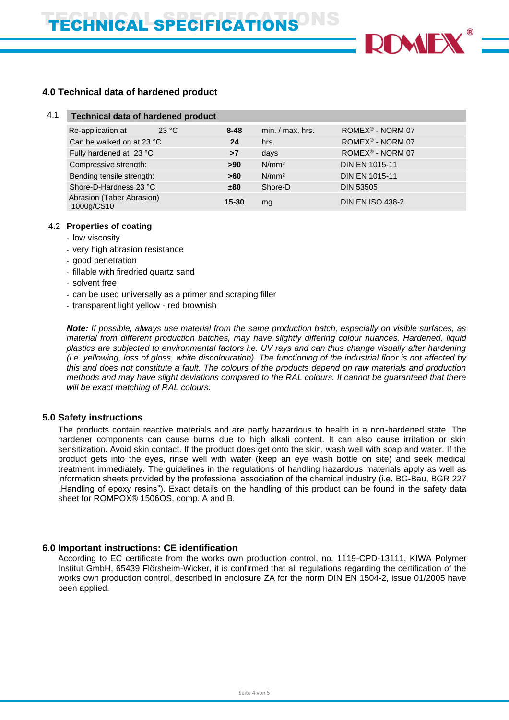

# **4.0 Technical data of hardened product**

| 4.1 | <b>Technical data of hardened product</b> |       |           |                    |                              |
|-----|-------------------------------------------|-------|-----------|--------------------|------------------------------|
|     | Re-application at                         | 23 °C | $8 - 48$  | $min. / max.$ hrs. | ROMEX <sup>®</sup> - NORM 07 |
|     | Can be walked on at 23 °C                 |       | 24        | hrs.               | ROMEX <sup>®</sup> - NORM 07 |
|     | Fully hardened at 23 °C                   |       | >7        | days               | ROMEX <sup>®</sup> - NORM 07 |
|     | Compressive strength:                     |       | >90       | N/mm <sup>2</sup>  | <b>DIN EN 1015-11</b>        |
|     | Bending tensile strength:                 |       | >60       | N/mm <sup>2</sup>  | <b>DIN EN 1015-11</b>        |
|     | Shore-D-Hardness 23 °C                    |       | ±80       | Shore-D            | <b>DIN 53505</b>             |
|     | Abrasion (Taber Abrasion)<br>1000g/CS10   |       | $15 - 30$ | mg                 | <b>DIN EN ISO 438-2</b>      |

#### 4.2 **Properties of coating**

- low viscosity
- very high abrasion resistance
- good penetration
- fillable with firedried quartz sand
- solvent free
- can be used universally as a primer and scraping filler
- transparent light yellow red brownish

*Note: If possible, always use material from the same production batch, especially on visible surfaces, as material from different production batches, may have slightly differing colour nuances. Hardened, liquid plastics are subjected to environmental factors i.e. UV rays and can thus change visually after hardening (i.e. yellowing, loss of gloss, white discolouration). The functioning of the industrial floor is not affected by this and does not constitute a fault. The colours of the products depend on raw materials and production methods and may have slight deviations compared to the RAL colours. It cannot be guaranteed that there will be exact matching of RAL colours.*

## **5.0 Safety instructions**

The products contain reactive materials and are partly hazardous to health in a non-hardened state. The hardener components can cause burns due to high alkali content. It can also cause irritation or skin sensitization. Avoid skin contact. If the product does get onto the skin, wash well with soap and water. If the product gets into the eyes, rinse well with water (keep an eye wash bottle on site) and seek medical treatment immediately. The guidelines in the regulations of handling hazardous materials apply as well as information sheets provided by the professional association of the chemical industry (i.e. BG-Bau, BGR 227 "Handling of epoxy resins"). Exact details on the handling of this product can be found in the safety data sheet for ROMPOX® 1506OS, comp. A and B.

#### **6.0 Important instructions: CE identification**

According to EC certificate from the works own production control, no. 1119-CPD-13111, KIWA Polymer Institut GmbH, 65439 Flörsheim-Wicker, it is confirmed that all regulations regarding the certification of the works own production control, described in enclosure ZA for the norm DIN EN 1504-2, issue 01/2005 have been applied.